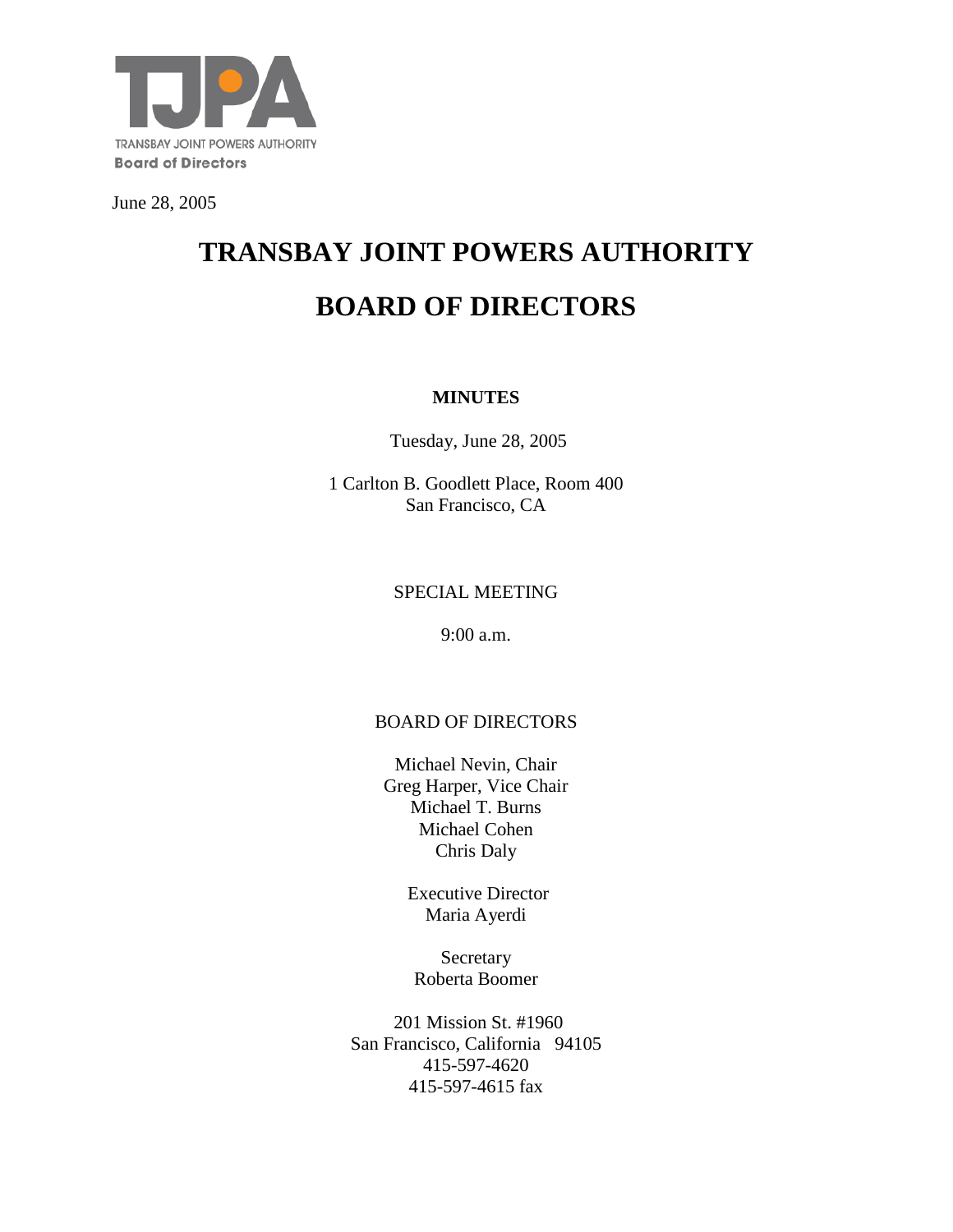

June 28, 2005

# **TRANSBAY JOINT POWERS AUTHORITY BOARD OF DIRECTORS**

#### **MINUTES**

Tuesday, June 28, 2005

1 Carlton B. Goodlett Place, Room 400 San Francisco, CA

## SPECIAL MEETING

9:00 a.m.

## BOARD OF DIRECTORS

Michael Nevin, Chair Greg Harper, Vice Chair Michael T. Burns Michael Cohen Chris Daly

> Executive Director Maria Ayerdi

**Secretary** Roberta Boomer

201 Mission St. #1960 San Francisco, California 94105 415-597-4620 415-597-4615 fax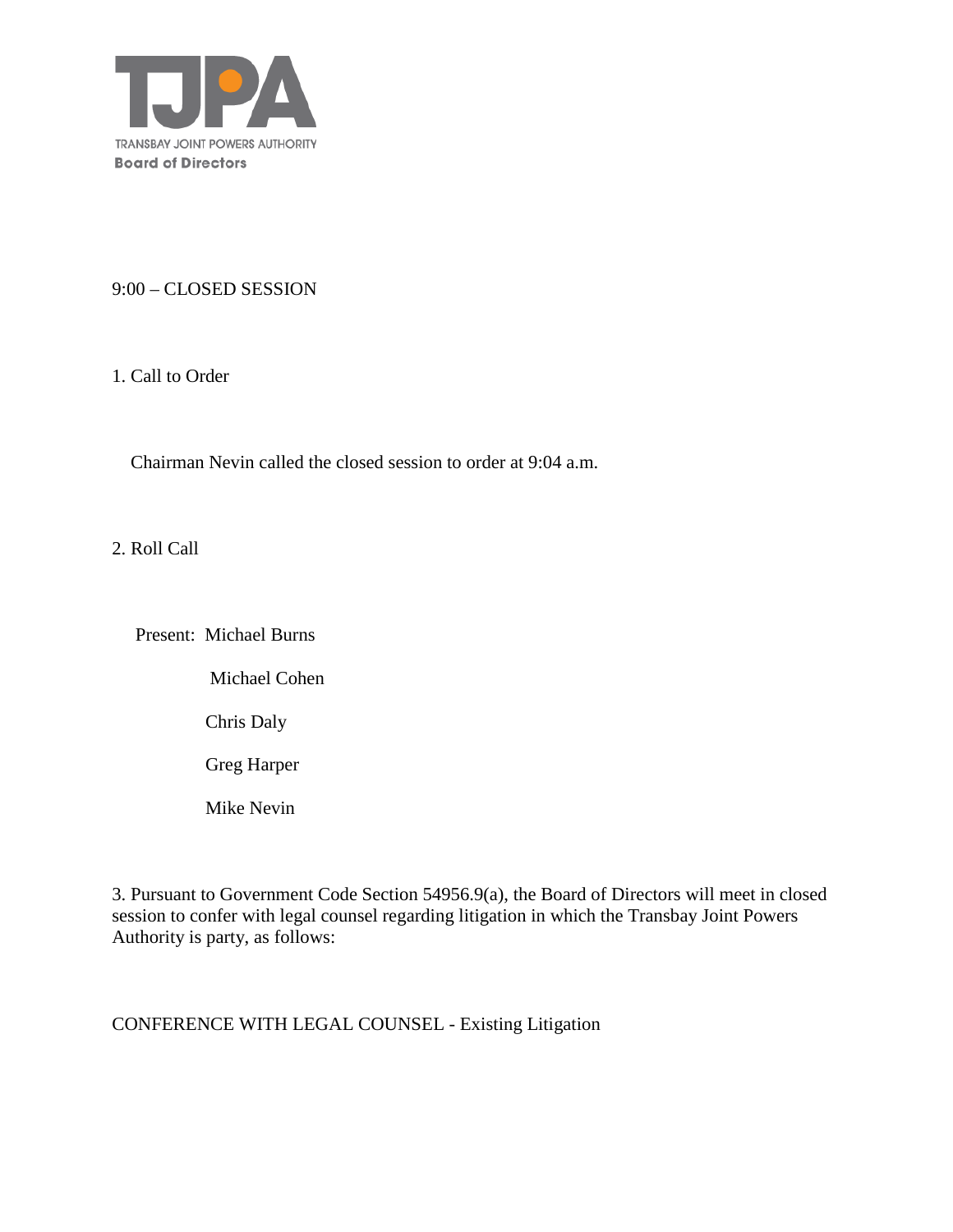

#### 9:00 – CLOSED SESSION

1. Call to Order

Chairman Nevin called the closed session to order at 9:04 a.m.

2. Roll Call

Present: Michael Burns

Michael Cohen

Chris Daly

Greg Harper

Mike Nevin

3. Pursuant to Government Code Section 54956.9(a), the Board of Directors will meet in closed session to confer with legal counsel regarding litigation in which the Transbay Joint Powers Authority is party, as follows:

CONFERENCE WITH LEGAL COUNSEL - Existing Litigation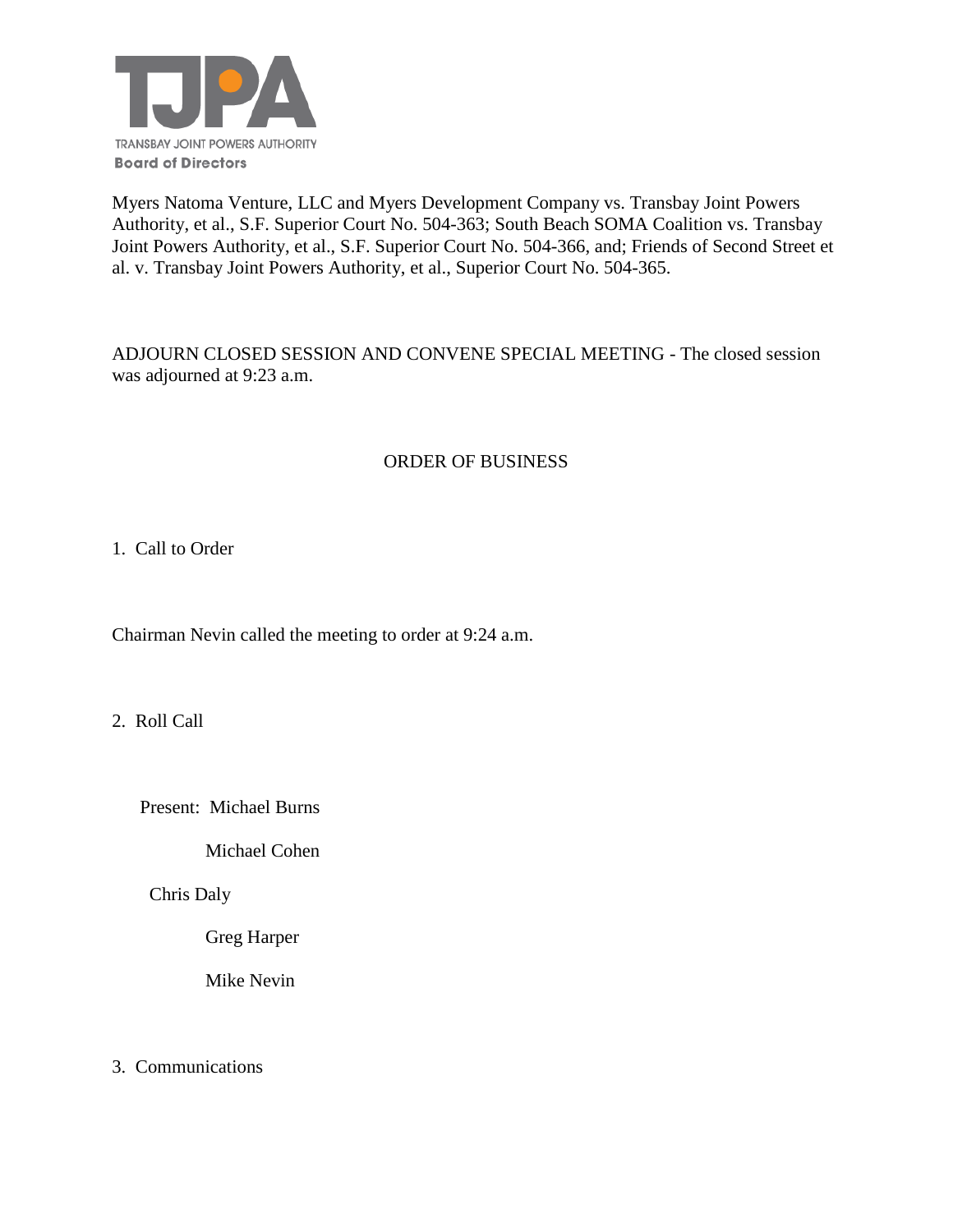

Myers Natoma Venture, LLC and Myers Development Company vs. Transbay Joint Powers Authority, et al., S.F. Superior Court No. 504-363; South Beach SOMA Coalition vs. Transbay Joint Powers Authority, et al., S.F. Superior Court No. 504-366, and; Friends of Second Street et al. v. Transbay Joint Powers Authority, et al., Superior Court No. 504-365.

ADJOURN CLOSED SESSION AND CONVENE SPECIAL MEETING - The closed session was adjourned at 9:23 a.m.

# ORDER OF BUSINESS

1. Call to Order

Chairman Nevin called the meeting to order at 9:24 a.m.

2. Roll Call

Present: Michael Burns

Michael Cohen

Chris Daly

Greg Harper

Mike Nevin

3. Communications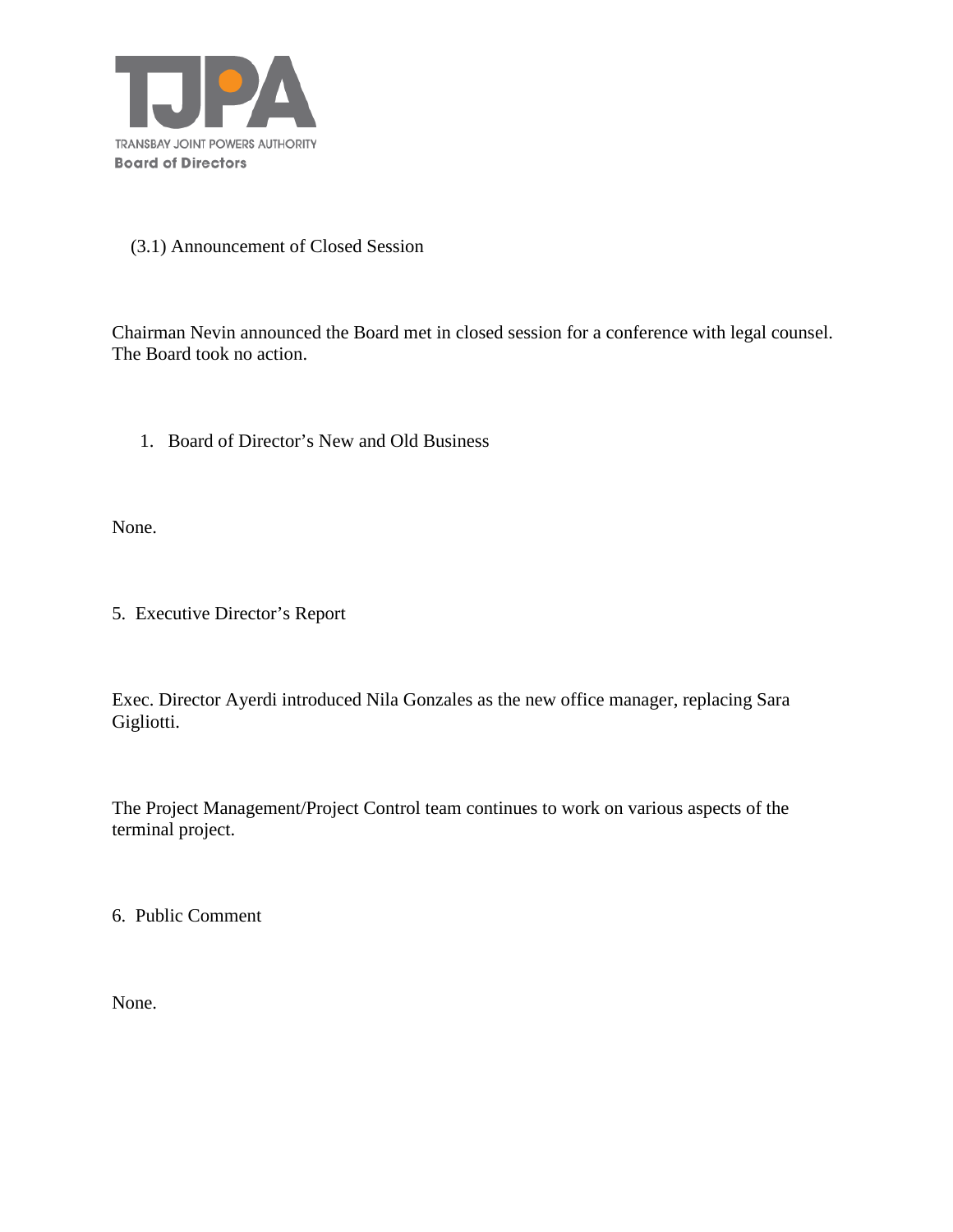

#### (3.1) Announcement of Closed Session

Chairman Nevin announced the Board met in closed session for a conference with legal counsel. The Board took no action.

1. Board of Director's New and Old Business

None.

5. Executive Director's Report

Exec. Director Ayerdi introduced Nila Gonzales as the new office manager, replacing Sara Gigliotti.

The Project Management/Project Control team continues to work on various aspects of the terminal project.

6. Public Comment

None.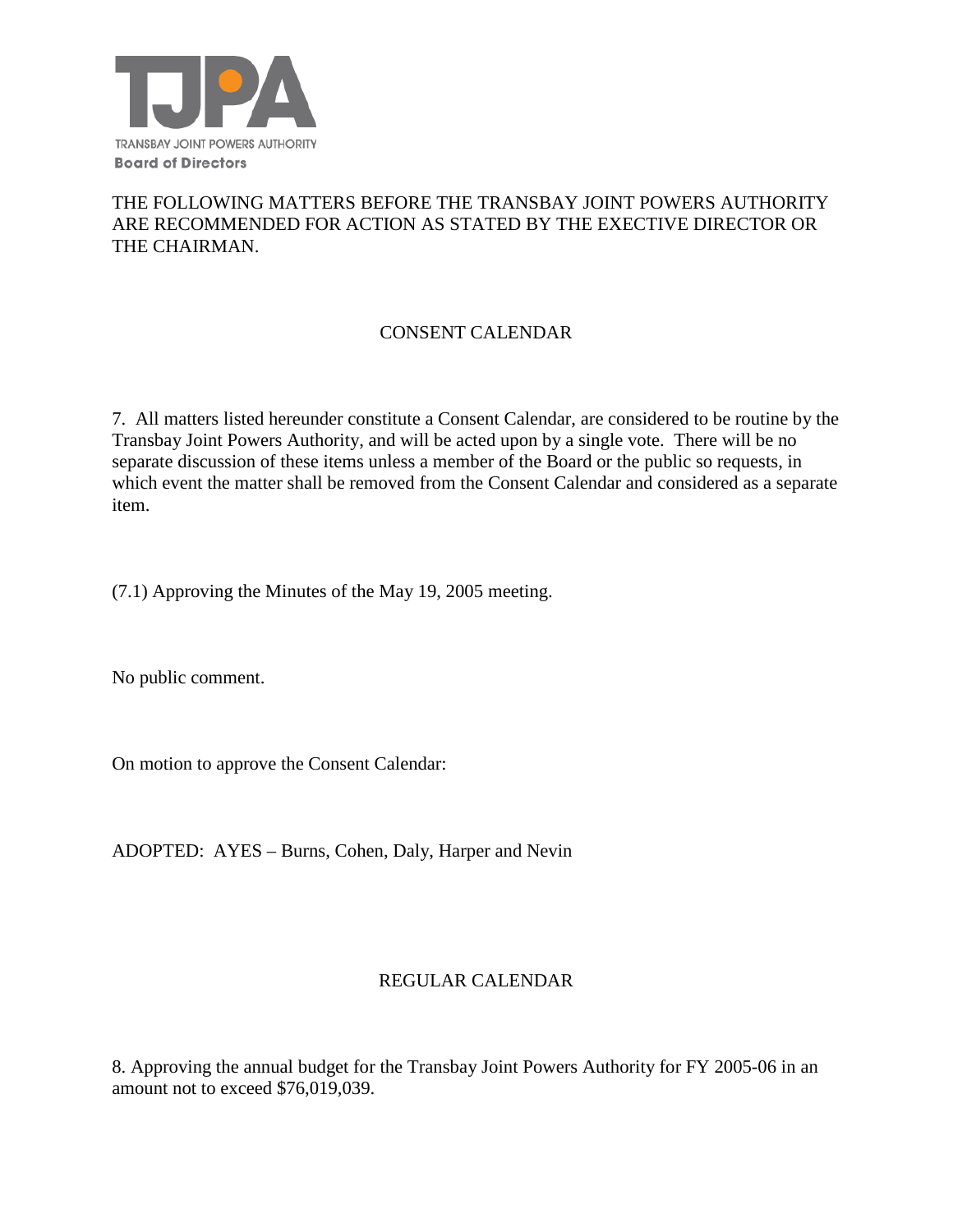

#### THE FOLLOWING MATTERS BEFORE THE TRANSBAY JOINT POWERS AUTHORITY ARE RECOMMENDED FOR ACTION AS STATED BY THE EXECTIVE DIRECTOR OR THE CHAIRMAN.

# CONSENT CALENDAR

7. All matters listed hereunder constitute a Consent Calendar, are considered to be routine by the Transbay Joint Powers Authority, and will be acted upon by a single vote. There will be no separate discussion of these items unless a member of the Board or the public so requests, in which event the matter shall be removed from the Consent Calendar and considered as a separate item.

(7.1) Approving the Minutes of the May 19, 2005 meeting.

No public comment.

On motion to approve the Consent Calendar:

ADOPTED: AYES – Burns, Cohen, Daly, Harper and Nevin

#### REGULAR CALENDAR

8. Approving the annual budget for the Transbay Joint Powers Authority for FY 2005-06 in an amount not to exceed \$76,019,039.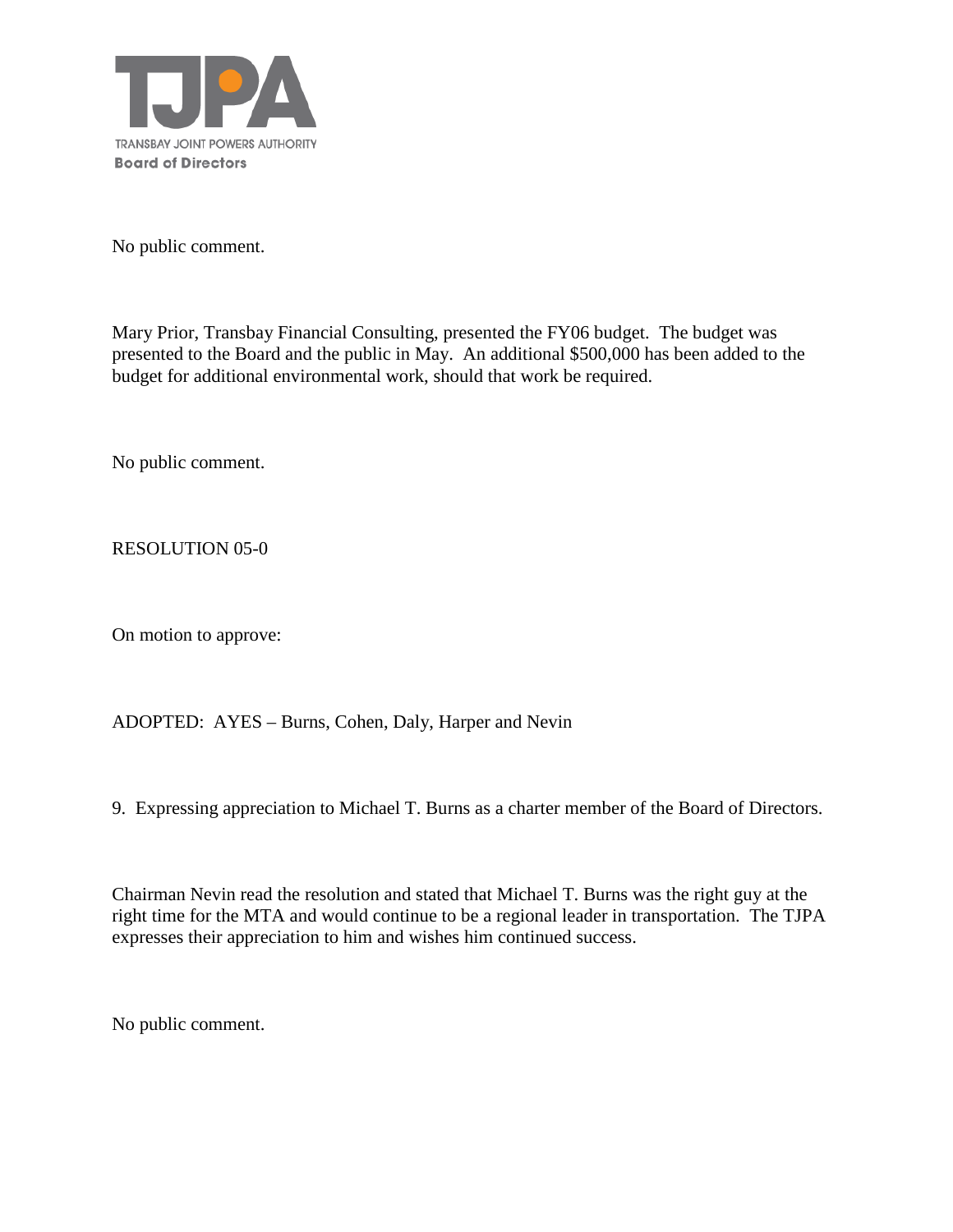

No public comment.

Mary Prior, Transbay Financial Consulting, presented the FY06 budget. The budget was presented to the Board and the public in May. An additional \$500,000 has been added to the budget for additional environmental work, should that work be required.

No public comment.

RESOLUTION 05-0

On motion to approve:

ADOPTED: AYES – Burns, Cohen, Daly, Harper and Nevin

9. Expressing appreciation to Michael T. Burns as a charter member of the Board of Directors.

Chairman Nevin read the resolution and stated that Michael T. Burns was the right guy at the right time for the MTA and would continue to be a regional leader in transportation. The TJPA expresses their appreciation to him and wishes him continued success.

No public comment.